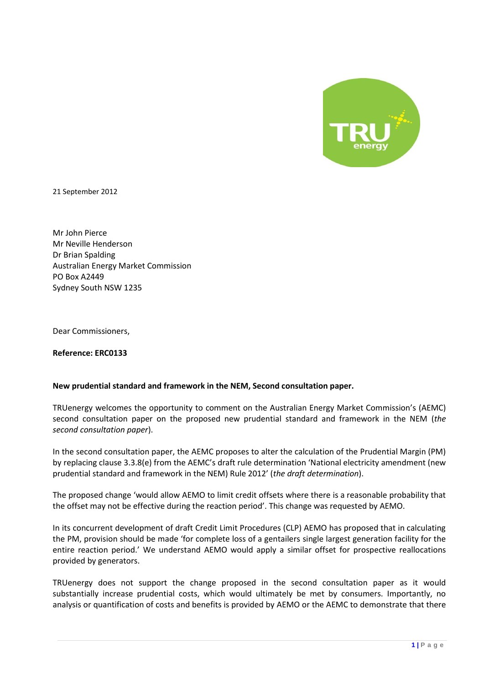

21 September 2012

Mr John Pierce Mr Neville Henderson Dr Brian Spalding Australian Energy Market Commission PO Box A2449 Sydney South NSW 1235

Dear Commissioners,

**Reference: ERC0133**

## **New prudential standard and framework in the NEM, Second consultation paper.**

TRUenergy welcomes the opportunity to comment on the Australian Energy Market Commission's (AEMC) second consultation paper on the proposed new prudential standard and framework in the NEM (*the second consultation paper*).

In the second consultation paper, the AEMC proposes to alter the calculation of the Prudential Margin (PM) by replacing clause 3.3.8(e) from the AEMC's draft rule determination 'National electricity amendment (new prudential standard and framework in the NEM) Rule 2012' (*the draft determination*).

The proposed change 'would allow AEMO to limit credit offsets where there is a reasonable probability that the offset may not be effective during the reaction period'. This change was requested by AEMO.

In its concurrent development of draft Credit Limit Procedures (CLP) AEMO has proposed that in calculating the PM, provision should be made 'for complete loss of a gentailers single largest generation facility for the entire reaction period.' We understand AEMO would apply a similar offset for prospective reallocations provided by generators.

TRUenergy does not support the change proposed in the second consultation paper as it would substantially increase prudential costs, which would ultimately be met by consumers. Importantly, no analysis or quantification of costs and benefits is provided by AEMO or the AEMC to demonstrate that there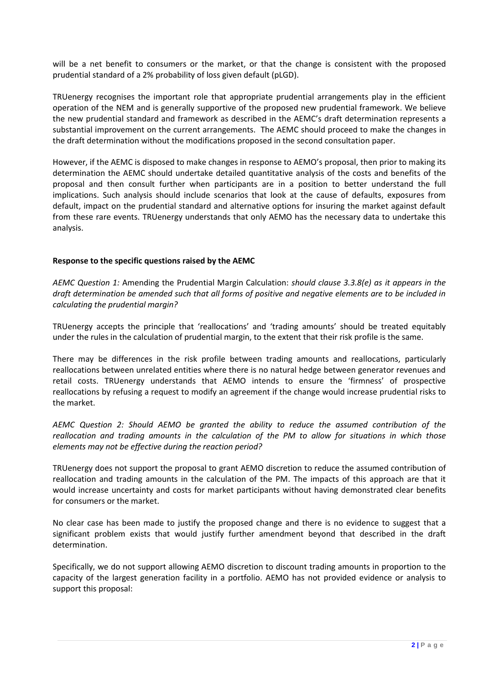will be a net benefit to consumers or the market, or that the change is consistent with the proposed prudential standard of a 2% probability of loss given default (pLGD).

TRUenergy recognises the important role that appropriate prudential arrangements play in the efficient operation of the NEM and is generally supportive of the proposed new prudential framework. We believe the new prudential standard and framework as described in the AEMC's draft determination represents a substantial improvement on the current arrangements. The AEMC should proceed to make the changes in the draft determination without the modifications proposed in the second consultation paper.

However, if the AEMC is disposed to make changes in response to AEMO's proposal, then prior to making its determination the AEMC should undertake detailed quantitative analysis of the costs and benefits of the proposal and then consult further when participants are in a position to better understand the full implications. Such analysis should include scenarios that look at the cause of defaults, exposures from default, impact on the prudential standard and alternative options for insuring the market against default from these rare events. TRUenergy understands that only AEMO has the necessary data to undertake this analysis.

## **Response to the specific questions raised by the AEMC**

*AEMC Question 1:* Amending the Prudential Margin Calculation: *should clause 3.3.8(e) as it appears in the draft determination be amended such that all forms of positive and negative elements are to be included in calculating the prudential margin?*

TRUenergy accepts the principle that 'reallocations' and 'trading amounts' should be treated equitably under the rules in the calculation of prudential margin, to the extent that their risk profile is the same.

There may be differences in the risk profile between trading amounts and reallocations, particularly reallocations between unrelated entities where there is no natural hedge between generator revenues and retail costs. TRUenergy understands that AEMO intends to ensure the 'firmness' of prospective reallocations by refusing a request to modify an agreement if the change would increase prudential risks to the market.

*AEMC Question 2: Should AEMO be granted the ability to reduce the assumed contribution of the reallocation and trading amounts in the calculation of the PM to allow for situations in which those elements may not be effective during the reaction period?*

TRUenergy does not support the proposal to grant AEMO discretion to reduce the assumed contribution of reallocation and trading amounts in the calculation of the PM. The impacts of this approach are that it would increase uncertainty and costs for market participants without having demonstrated clear benefits for consumers or the market.

No clear case has been made to justify the proposed change and there is no evidence to suggest that a significant problem exists that would justify further amendment beyond that described in the draft determination.

Specifically, we do not support allowing AEMO discretion to discount trading amounts in proportion to the capacity of the largest generation facility in a portfolio. AEMO has not provided evidence or analysis to support this proposal: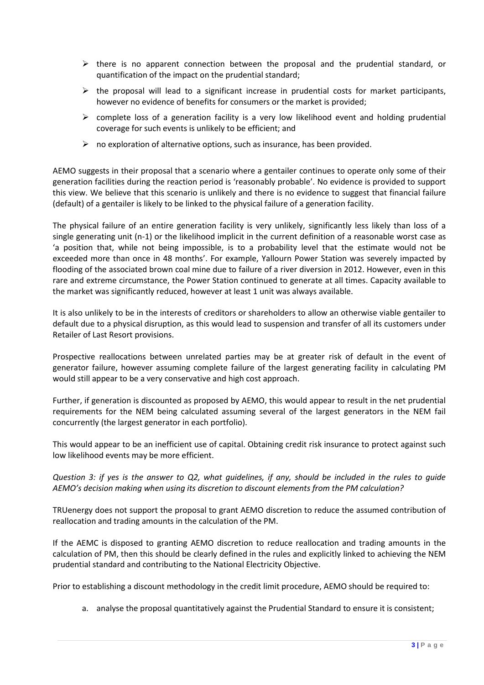- $\triangleright$  there is no apparent connection between the proposal and the prudential standard, or quantification of the impact on the prudential standard;
- $\triangleright$  the proposal will lead to a significant increase in prudential costs for market participants, however no evidence of benefits for consumers or the market is provided;
- $\triangleright$  complete loss of a generation facility is a very low likelihood event and holding prudential coverage for such events is unlikely to be efficient; and
- $\triangleright$  no exploration of alternative options, such as insurance, has been provided.

AEMO suggests in their proposal that a scenario where a gentailer continues to operate only some of their generation facilities during the reaction period is 'reasonably probable'. No evidence is provided to support this view. We believe that this scenario is unlikely and there is no evidence to suggest that financial failure (default) of a gentailer is likely to be linked to the physical failure of a generation facility.

The physical failure of an entire generation facility is very unlikely, significantly less likely than loss of a single generating unit (n-1) or the likelihood implicit in the current definition of a reasonable worst case as 'a position that, while not being impossible, is to a probability level that the estimate would not be exceeded more than once in 48 months'. For example, Yallourn Power Station was severely impacted by flooding of the associated brown coal mine due to failure of a river diversion in 2012. However, even in this rare and extreme circumstance, the Power Station continued to generate at all times. Capacity available to the market was significantly reduced, however at least 1 unit was always available.

It is also unlikely to be in the interests of creditors or shareholders to allow an otherwise viable gentailer to default due to a physical disruption, as this would lead to suspension and transfer of all its customers under Retailer of Last Resort provisions.

Prospective reallocations between unrelated parties may be at greater risk of default in the event of generator failure, however assuming complete failure of the largest generating facility in calculating PM would still appear to be a very conservative and high cost approach.

Further, if generation is discounted as proposed by AEMO, this would appear to result in the net prudential requirements for the NEM being calculated assuming several of the largest generators in the NEM fail concurrently (the largest generator in each portfolio).

This would appear to be an inefficient use of capital. Obtaining credit risk insurance to protect against such low likelihood events may be more efficient.

*Question 3: if yes is the answer to Q2, what guidelines, if any, should be included in the rules to guide AEMO's decision making when using its discretion to discount elements from the PM calculation?*

TRUenergy does not support the proposal to grant AEMO discretion to reduce the assumed contribution of reallocation and trading amounts in the calculation of the PM.

If the AEMC is disposed to granting AEMO discretion to reduce reallocation and trading amounts in the calculation of PM, then this should be clearly defined in the rules and explicitly linked to achieving the NEM prudential standard and contributing to the National Electricity Objective.

Prior to establishing a discount methodology in the credit limit procedure, AEMO should be required to:

a. analyse the proposal quantitatively against the Prudential Standard to ensure it is consistent;